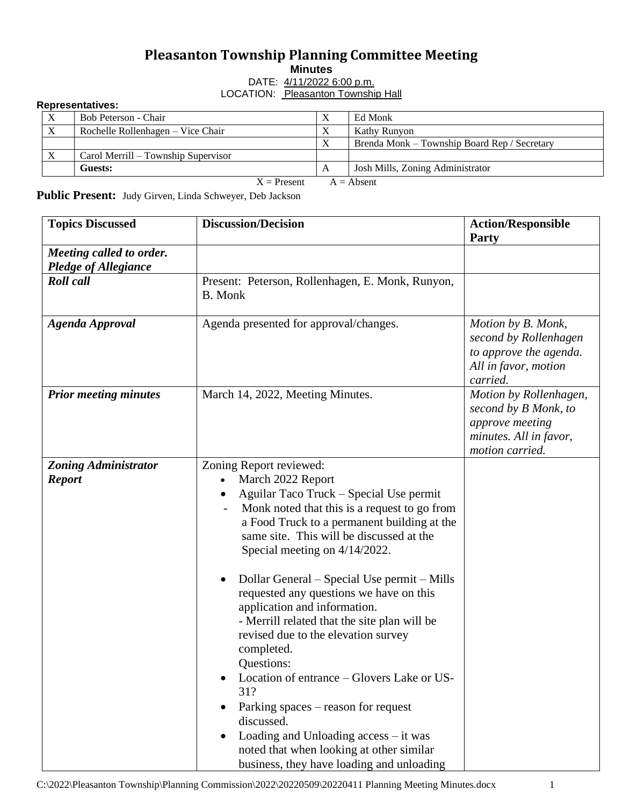## **Pleasanton Township Planning Committee Meeting**

**Minutes**

DATE:  $4/11/2022$  6:00 p.m.

LOCATION: Pleasanton Township Hall

## **Representatives:**

|                               | Bob Peterson - Chair                |  | $\Lambda$ | Ed Monk                                      |
|-------------------------------|-------------------------------------|--|-----------|----------------------------------------------|
| X                             | Rochelle Rollenhagen – Vice Chair   |  | $\Lambda$ | Kathy Runyon                                 |
|                               |                                     |  | $\Lambda$ | Brenda Monk – Township Board Rep / Secretary |
|                               | Carol Merrill – Township Supervisor |  |           |                                              |
|                               | Guests:                             |  |           | Josh Mills, Zoning Administrator             |
| $X =$ Present<br>$A =$ Absent |                                     |  |           |                                              |

**Public Present:** Judy Girven, Linda Schweyer, Deb Jackson

| <b>Topics Discussed</b>                                 | <b>Discussion/Decision</b>                                                                                                                                                                                                                                                                                                                                                                                                                                                                                                                                                                                                                                                                                                                                   | <b>Action/Responsible</b><br><b>Party</b>                                                                      |
|---------------------------------------------------------|--------------------------------------------------------------------------------------------------------------------------------------------------------------------------------------------------------------------------------------------------------------------------------------------------------------------------------------------------------------------------------------------------------------------------------------------------------------------------------------------------------------------------------------------------------------------------------------------------------------------------------------------------------------------------------------------------------------------------------------------------------------|----------------------------------------------------------------------------------------------------------------|
| Meeting called to order.<br><b>Pledge of Allegiance</b> |                                                                                                                                                                                                                                                                                                                                                                                                                                                                                                                                                                                                                                                                                                                                                              |                                                                                                                |
| <b>Roll</b> call                                        | Present: Peterson, Rollenhagen, E. Monk, Runyon,<br><b>B.</b> Monk                                                                                                                                                                                                                                                                                                                                                                                                                                                                                                                                                                                                                                                                                           |                                                                                                                |
| <b>Agenda Approval</b>                                  | Agenda presented for approval/changes.                                                                                                                                                                                                                                                                                                                                                                                                                                                                                                                                                                                                                                                                                                                       | Motion by B. Monk,<br>second by Rollenhagen<br>to approve the agenda.<br>All in favor, motion<br>carried.      |
| <b>Prior meeting minutes</b>                            | March 14, 2022, Meeting Minutes.                                                                                                                                                                                                                                                                                                                                                                                                                                                                                                                                                                                                                                                                                                                             | Motion by Rollenhagen,<br>second by B Monk, to<br>approve meeting<br>minutes. All in favor,<br>motion carried. |
| <b>Zoning Administrator</b><br><b>Report</b>            | Zoning Report reviewed:<br>March 2022 Report<br>Aguilar Taco Truck – Special Use permit<br>Monk noted that this is a request to go from<br>a Food Truck to a permanent building at the<br>same site. This will be discussed at the<br>Special meeting on 4/14/2022.<br>Dollar General – Special Use permit – Mills<br>requested any questions we have on this<br>application and information.<br>- Merrill related that the site plan will be<br>revised due to the elevation survey<br>completed.<br>Questions:<br>Location of entrance – Glovers Lake or US-<br>31?<br>Parking spaces – reason for request<br>discussed.<br>Loading and Unloading access - it was<br>noted that when looking at other similar<br>business, they have loading and unloading |                                                                                                                |